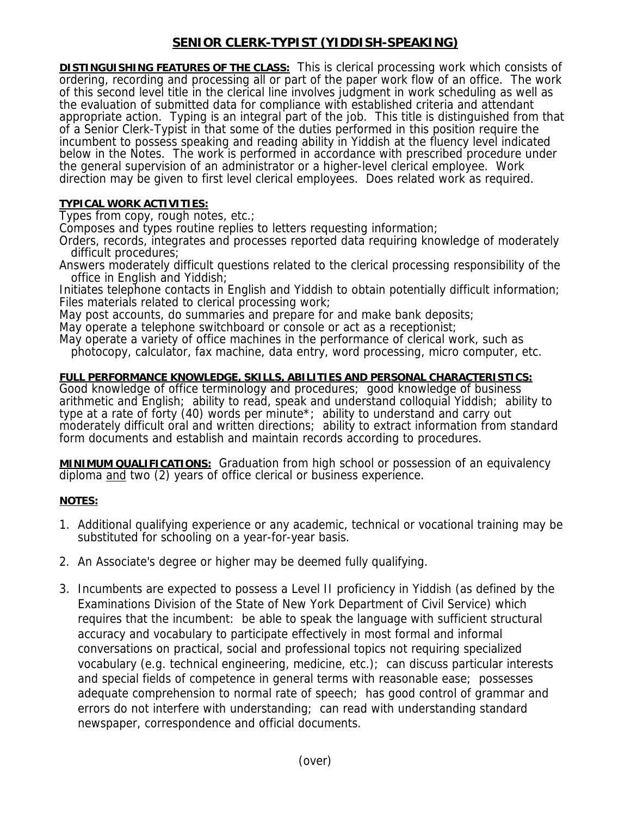## **SENIOR CLERK-TYPIST (YIDDISH-SPEAKING)**

**DISTINGUISHING FEATURES OF THE CLASS:** This is clerical processing work which consists of ordering, recording and processing all or part of the paper work flow of an office. The work of this second level title in the clerical line involves judgment in work scheduling as well as the evaluation of submitted data for compliance with established criteria and attendant appropriate action. Typing is an integral part of the job. This title is distinguished from that of a Senior Clerk-Typist in that some of the duties performed in this position require the incumbent to possess speaking and reading ability in Yiddish at the fluency level indicated below in the Notes. The work is performed in accordance with prescribed procedure under the general supervision of an administrator or a higher-level clerical employee. Work direction may be given to first level clerical employees. Does related work as required.

## **TYPICAL WORK ACTIVITIES:**

Types from copy, rough notes, etc.;

Composes and types routine replies to letters requesting information;

Orders, records, integrates and processes reported data requiring knowledge of moderately difficult procedures;

Answers moderately difficult questions related to the clerical processing responsibility of the office in English and Yiddish;

Initiates telephone contacts in English and Yiddish to obtain potentially difficult information; Files materials related to clerical processing work;

May post accounts, do summaries and prepare for and make bank deposits;

May operate a telephone switchboard or console or act as a receptionist;

May operate a variety of office machines in the performance of clerical work, such as

photocopy, calculator, fax machine, data entry, word processing, micro computer, etc.

## **FULL PERFORMANCE KNOWLEDGE, SKILLS, ABILITIES AND PERSONAL CHARACTERISTICS:**

Good knowledge of office terminology and procedures; good knowledge of business arithmetic and English; ability to read, speak and understand colloquial Yiddish; ability to type at a rate of forty (40) words per minute\*; ability to understand and carry out moderately difficult oral and written directions; ability to extract information from standard form documents and establish and maintain records according to procedures.

**MINIMUM QUALIFICATIONS:** Graduation from high school or possession of an equivalency diploma and two (2) years of office clerical or business experience.

## **NOTES:**

- 1. Additional qualifying experience or any academic, technical or vocational training may be substituted for schooling on a year-for-year basis.
- 2. An Associate's degree or higher may be deemed fully qualifying.
- 3. Incumbents are expected to possess a Level II proficiency in Yiddish (as defined by the Examinations Division of the State of New York Department of Civil Service) which requires that the incumbent: be able to speak the language with sufficient structural accuracy and vocabulary to participate effectively in most formal and informal conversations on practical, social and professional topics not requiring specialized vocabulary (e.g. technical engineering, medicine, etc.); can discuss particular interests and special fields of competence in general terms with reasonable ease; possesses adequate comprehension to normal rate of speech; has good control of grammar and errors do not interfere with understanding; can read with understanding standard newspaper, correspondence and official documents.